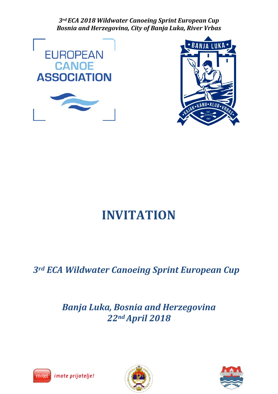*3rd ECA 2018 Wildwater Canoeing Sprint European Cup Bosnia and Herzegovina, City of Banja Luka, River Vrbas*





# **INVITATION**

# *3rd ECA Wildwater Canoeing Sprint European Cup*

# *Banja Luka, Bosnia and Herzegovina 22ndApril 2018*





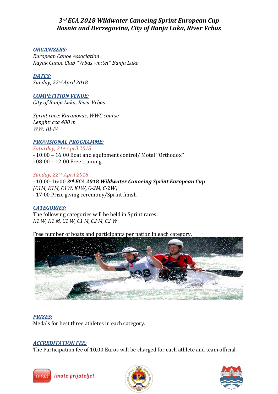# *3rd ECA 2018 Wildwater Canoeing Sprint European Cup Bosnia and Herzegovina, City of Banja Luka, River Vrbas*

# *ORGANIZERS:*

*European Canoe Association Kayak Canoe Club ''Vrbas –m:tel'' Banja Luka*

# *DATES:*

*Sunday, 22nd April 2018*

# *COMPETITION VENUE:*

*City of Banja Luka, River Vrbas*

*Sprint race: Karanovac, WWC course Lenght: cca 400 m WW: III-IV*

# *PROVISIONAL PROGRAMME:*

*Saturday, 21st April 2018* - 10:00 – 16:00 Boat and equipment control/ Motel ''Orthodox'' - 08:00 – 12:00 Free training

## *Sunday, 22nd April 2018*

- 10:00-16:00 *3rd ECA 2018 Wildwater Canoeing Sprint European Cup (C1M, K1M, C1W, K1W, C-2M, C-2W)* - 17:00 Prize giving ceremony/Sprint finish

*CATEGORIES:* The following categories will be held in Sprint races: *K1 W, K1 M, C1 W, C1 M, C2 M, C2 W*

Free number of boats and participants per nation in each category.



## *PRIZES:*

Medals for best three athletes in each category.

## *ACCREDITATION FEE:*

The Participation fee of 10,00 Euros will be charged for each athlete and team official.